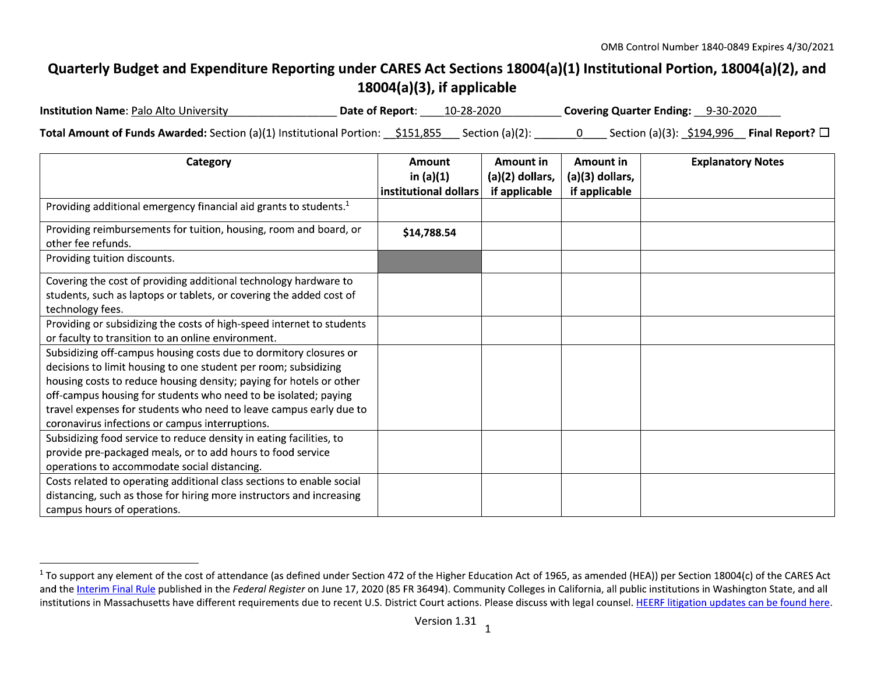## Quarterly Budget and Expenditure Reporting under CARES Act Sections 18004(a)(1) Institutional Portion, 18004(a)(2), and 18004(a)(3), if applicable

| <b>Institution Name: Palo Alto University</b>                                                                       | <b>Date of Report:</b> 10-28-2020 |  | Covering Quarter Ending: 9-30-2020 |  |
|---------------------------------------------------------------------------------------------------------------------|-----------------------------------|--|------------------------------------|--|
| <b>Total Amount of Funds Awarded:</b> Section (a)(1) Institutional Portion: $\frac{$151,855}{1000}$ Section (a)(2): |                                   |  |                                    |  |

| Category                                                                                                                                                                                                                                                                                                                                                                                                | Amount<br>in $(a)(1)$<br>institutional dollars | Amount in<br>(a)(2) dollars,<br>if applicable | Amount in<br>(a)(3) dollars,<br>if applicable | <b>Explanatory Notes</b> |
|---------------------------------------------------------------------------------------------------------------------------------------------------------------------------------------------------------------------------------------------------------------------------------------------------------------------------------------------------------------------------------------------------------|------------------------------------------------|-----------------------------------------------|-----------------------------------------------|--------------------------|
| Providing additional emergency financial aid grants to students. <sup>1</sup>                                                                                                                                                                                                                                                                                                                           |                                                |                                               |                                               |                          |
| Providing reimbursements for tuition, housing, room and board, or<br>other fee refunds.                                                                                                                                                                                                                                                                                                                 | \$14,788.54                                    |                                               |                                               |                          |
| Providing tuition discounts.                                                                                                                                                                                                                                                                                                                                                                            |                                                |                                               |                                               |                          |
| Covering the cost of providing additional technology hardware to<br>students, such as laptops or tablets, or covering the added cost of<br>technology fees.                                                                                                                                                                                                                                             |                                                |                                               |                                               |                          |
| Providing or subsidizing the costs of high-speed internet to students<br>or faculty to transition to an online environment.                                                                                                                                                                                                                                                                             |                                                |                                               |                                               |                          |
| Subsidizing off-campus housing costs due to dormitory closures or<br>decisions to limit housing to one student per room; subsidizing<br>housing costs to reduce housing density; paying for hotels or other<br>off-campus housing for students who need to be isolated; paying<br>travel expenses for students who need to leave campus early due to<br>coronavirus infections or campus interruptions. |                                                |                                               |                                               |                          |
| Subsidizing food service to reduce density in eating facilities, to<br>provide pre-packaged meals, or to add hours to food service<br>operations to accommodate social distancing.                                                                                                                                                                                                                      |                                                |                                               |                                               |                          |
| Costs related to operating additional class sections to enable social<br>distancing, such as those for hiring more instructors and increasing<br>campus hours of operations.                                                                                                                                                                                                                            |                                                |                                               |                                               |                          |

<sup>&</sup>lt;sup>1</sup> To support any element of the cost of attendance (as defined under Section 472 of the Higher Education Act of 1965, as amended (HEA)) per Section 18004(c) of the CARES Act and the Interim Final Rule published in the Federal Register on June 17, 2020 (85 FR 36494). Community Colleges in California, all public institutions in Washington State, and all institutions in Massachusetts have different requirements due to recent U.S. District Court actions. Please discuss with legal counsel. HEERF litigation updates can be found here.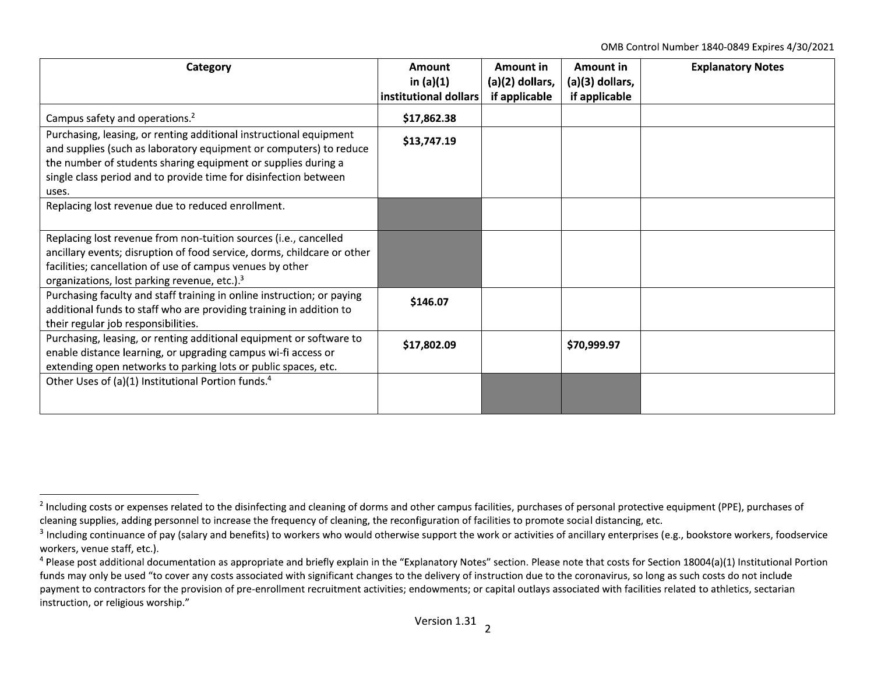OMB Control Number 1840-0849 Expires 4/30/2021

| Category                                                                                                                                                                                               | Amount<br>in $(a)(1)$ | Amount in<br>(a)(2) dollars, | Amount in<br>(a)(3) dollars, | <b>Explanatory Notes</b> |
|--------------------------------------------------------------------------------------------------------------------------------------------------------------------------------------------------------|-----------------------|------------------------------|------------------------------|--------------------------|
|                                                                                                                                                                                                        | institutional dollars | if applicable                | if applicable                |                          |
| Campus safety and operations. <sup>2</sup>                                                                                                                                                             | \$17,862.38           |                              |                              |                          |
| Purchasing, leasing, or renting additional instructional equipment<br>and supplies (such as laboratory equipment or computers) to reduce                                                               | \$13,747.19           |                              |                              |                          |
| the number of students sharing equipment or supplies during a<br>single class period and to provide time for disinfection between                                                                      |                       |                              |                              |                          |
| uses.                                                                                                                                                                                                  |                       |                              |                              |                          |
| Replacing lost revenue due to reduced enrollment.                                                                                                                                                      |                       |                              |                              |                          |
| Replacing lost revenue from non-tuition sources (i.e., cancelled                                                                                                                                       |                       |                              |                              |                          |
| ancillary events; disruption of food service, dorms, childcare or other                                                                                                                                |                       |                              |                              |                          |
| facilities; cancellation of use of campus venues by other<br>organizations, lost parking revenue, etc.). <sup>3</sup>                                                                                  |                       |                              |                              |                          |
| Purchasing faculty and staff training in online instruction; or paying<br>additional funds to staff who are providing training in addition to<br>their regular job responsibilities.                   | \$146.07              |                              |                              |                          |
| Purchasing, leasing, or renting additional equipment or software to<br>enable distance learning, or upgrading campus wi-fi access or<br>extending open networks to parking lots or public spaces, etc. | \$17,802.09           |                              | \$70,999.97                  |                          |
| Other Uses of (a)(1) Institutional Portion funds. <sup>4</sup>                                                                                                                                         |                       |                              |                              |                          |

<sup>&</sup>lt;sup>2</sup> Including costs or expenses related to the disinfecting and cleaning of dorms and other campus facilities, purchases of personal protective equipment (PPE), purchases of cleaning supplies, adding personnel to increase the frequency of cleaning, the reconfiguration of facilities to promote social distancing, etc.

 $3$  Including continuance of pay (salary and benefits) to workers who would otherwise support the work or activities of ancillary enterprises (e.g., bookstore workers, foodservice workers, venue staff, etc.).

 $4$  Please post additional documentation as appropriate and briefly explain in the "Explanatory Notes" section. Please note that costs for Section 18004(a)(1) Institutional Portion funds may only be used "to cover any costs associated with significant changes to the delivery of instruction due to the coronavirus, so long as such costs do not include payment to contractors for the provision of pre-enrollment recruitment activities; endowments; or capital outlays associated with facilities related to athletics, sectarian instruction, or religious worship."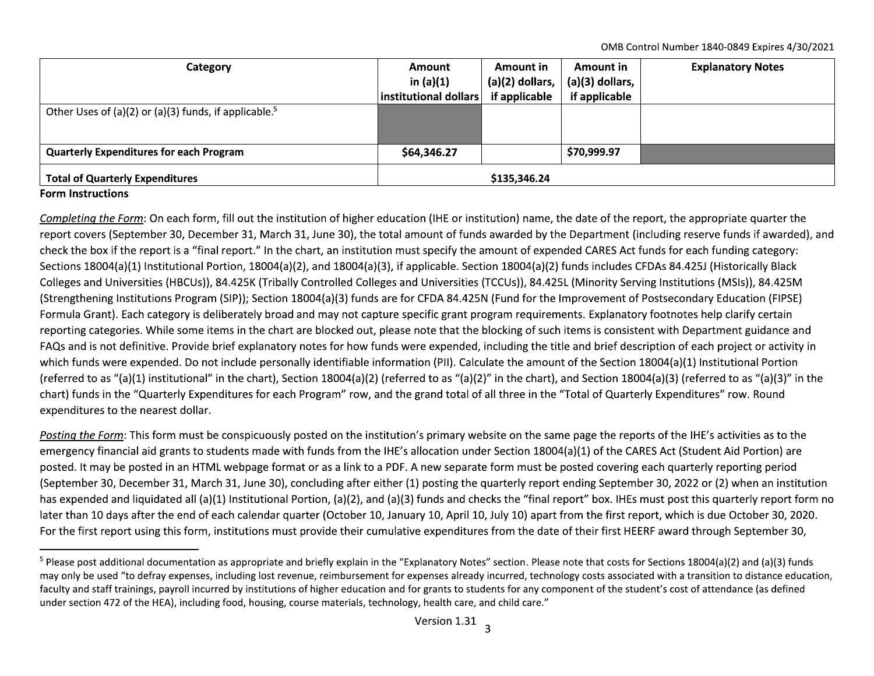OMB Control Number 1840-0849 Expires 4/30/2021

| Category                                                          | Amount                | Amount in         | Amount in       | <b>Explanatory Notes</b> |
|-------------------------------------------------------------------|-----------------------|-------------------|-----------------|--------------------------|
|                                                                   | in $(a)(1)$           | $(a)(2)$ dollars, | (a)(3) dollars, |                          |
|                                                                   | institutional dollars | if applicable     | if applicable   |                          |
| Other Uses of (a)(2) or (a)(3) funds, if applicable. <sup>5</sup> |                       |                   |                 |                          |
| <b>Quarterly Expenditures for each Program</b>                    | \$64,346.27           |                   | \$70,999.97     |                          |
|                                                                   |                       |                   |                 |                          |
| <b>Total of Quarterly Expenditures</b>                            | \$135,346.24          |                   |                 |                          |

## **Form Instructions**

Completing the Form: On each form, fill out the institution of higher education (IHE or institution) name, the date of the report, the appropriate quarter the report covers (September 30, December 31, March 31, June 30), the total amount of funds awarded by the Department (including reserve funds if awarded), and check the box if the report is a "final report." In the chart, an institution must specify the amount of expended CARES Act funds for each funding category: Sections 18004(a)(1) Institutional Portion, 18004(a)(2), and 18004(a)(3), if applicable. Section 18004(a)(2) funds includes CFDAs 84.425J (Historically Black Colleges and Universities (HBCUs)), 84.425K (Tribally Controlled Colleges and Universities (TCCUs)), 84.425L (Minority Serving Institutions (MSIs)), 84.425M (Strengthening Institutions Program (SIP)); Section 18004(a)(3) funds are for CFDA 84.425N (Fund for the Improvement of Postsecondary Education (FIPSE) Formula Grant). Each category is deliberately broad and may not capture specific grant program requirements. Explanatory footnotes help clarify certain reporting categories. While some items in the chart are blocked out, please note that the blocking of such items is consistent with Department guidance and FAQs and is not definitive. Provide brief explanatory notes for how funds were expended, including the title and brief description of each project or activity in which funds were expended. Do not include personally identifiable information (PII). Calculate the amount of the Section 18004(a)(1) Institutional Portion (referred to as "(a)(1) institutional" in the chart), Section 18004(a)(2) (referred to as "(a)(2)" in the chart), and Section 18004(a)(3) (referred to as "(a)(3)" in the chart) funds in the "Quarterly Expenditures for each Program" row, and the grand total of all three in the "Total of Quarterly Expenditures" row. Round expenditures to the nearest dollar.

Posting the Form: This form must be conspicuously posted on the institution's primary website on the same page the reports of the IHE's activities as to the emergency financial aid grants to students made with funds from the IHE's allocation under Section 18004(a)(1) of the CARES Act (Student Aid Portion) are posted. It may be posted in an HTML webpage format or as a link to a PDF. A new separate form must be posted covering each quarterly reporting period (September 30, December 31, March 31, June 30), concluding after either (1) posting the quarterly report ending September 30, 2022 or (2) when an institution has expended and liquidated all (a)(1) Institutional Portion, (a)(2), and (a)(3) funds and checks the "final report" box. IHEs must post this quarterly report form no later than 10 days after the end of each calendar quarter (October 10, January 10, April 10, July 10) apart from the first report, which is due October 30, 2020. For the first report using this form, institutions must provide their cumulative expenditures from the date of their first HEERF award through September 30,

<sup>&</sup>lt;sup>5</sup> Please post additional documentation as appropriate and briefly explain in the "Explanatory Notes" section. Please note that costs for Sections 18004(a)(2) and (a)(3) funds may only be used "to defray expenses, including lost revenue, reimbursement for expenses already incurred, technology costs associated with a transition to distance education, faculty and staff trainings, payroll incurred by institutions of higher education and for grants to students for any component of the student's cost of attendance (as defined under section 472 of the HEA), including food, housing, course materials, technology, health care, and child care."